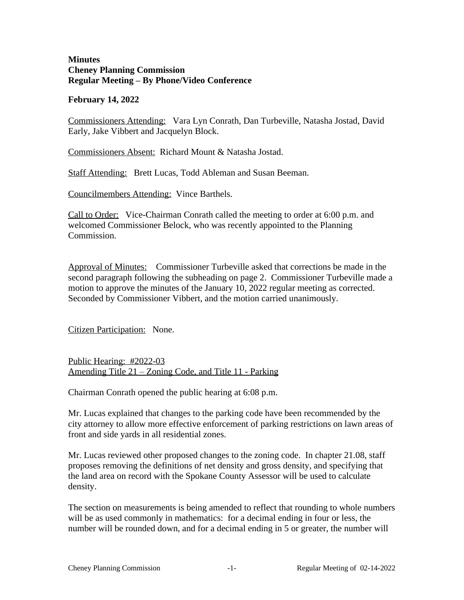# **Minutes Cheney Planning Commission Regular Meeting – By Phone/Video Conference**

# **February 14, 2022**

Commissioners Attending: Vara Lyn Conrath, Dan Turbeville, Natasha Jostad, David Early, Jake Vibbert and Jacquelyn Block.

Commissioners Absent: Richard Mount & Natasha Jostad.

Staff Attending: Brett Lucas, Todd Ableman and Susan Beeman.

Councilmembers Attending: Vince Barthels.

Call to Order: Vice-Chairman Conrath called the meeting to order at 6:00 p.m. and welcomed Commissioner Belock, who was recently appointed to the Planning Commission.

Approval of Minutes: Commissioner Turbeville asked that corrections be made in the second paragraph following the subheading on page 2. Commissioner Turbeville made a motion to approve the minutes of the January 10, 2022 regular meeting as corrected. Seconded by Commissioner Vibbert, and the motion carried unanimously.

Citizen Participation: None.

Public Hearing: #2022-03 Amending Title 21 – Zoning Code, and Title 11 - Parking

Chairman Conrath opened the public hearing at 6:08 p.m.

Mr. Lucas explained that changes to the parking code have been recommended by the city attorney to allow more effective enforcement of parking restrictions on lawn areas of front and side yards in all residential zones.

Mr. Lucas reviewed other proposed changes to the zoning code. In chapter 21.08, staff proposes removing the definitions of net density and gross density, and specifying that the land area on record with the Spokane County Assessor will be used to calculate density.

The section on measurements is being amended to reflect that rounding to whole numbers will be as used commonly in mathematics: for a decimal ending in four or less, the number will be rounded down, and for a decimal ending in 5 or greater, the number will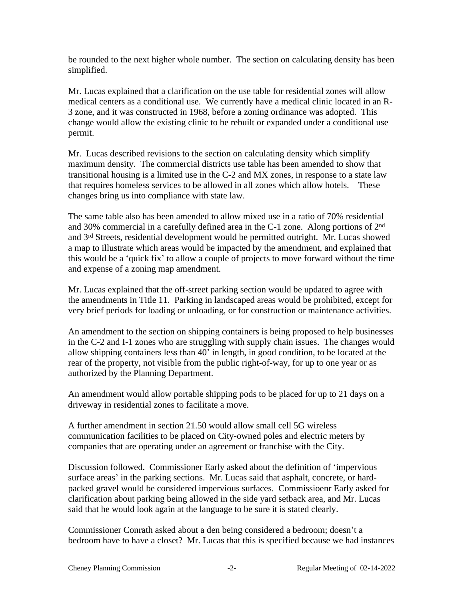be rounded to the next higher whole number. The section on calculating density has been simplified.

Mr. Lucas explained that a clarification on the use table for residential zones will allow medical centers as a conditional use. We currently have a medical clinic located in an R-3 zone, and it was constructed in 1968, before a zoning ordinance was adopted. This change would allow the existing clinic to be rebuilt or expanded under a conditional use permit.

Mr. Lucas described revisions to the section on calculating density which simplify maximum density. The commercial districts use table has been amended to show that transitional housing is a limited use in the C-2 and MX zones, in response to a state law that requires homeless services to be allowed in all zones which allow hotels. These changes bring us into compliance with state law.

The same table also has been amended to allow mixed use in a ratio of 70% residential and 30% commercial in a carefully defined area in the C-1 zone. Along portions of 2nd and 3rd Streets, residential development would be permitted outright. Mr. Lucas showed a map to illustrate which areas would be impacted by the amendment, and explained that this would be a 'quick fix' to allow a couple of projects to move forward without the time and expense of a zoning map amendment.

Mr. Lucas explained that the off-street parking section would be updated to agree with the amendments in Title 11. Parking in landscaped areas would be prohibited, except for very brief periods for loading or unloading, or for construction or maintenance activities.

An amendment to the section on shipping containers is being proposed to help businesses in the C-2 and I-1 zones who are struggling with supply chain issues. The changes would allow shipping containers less than 40' in length, in good condition, to be located at the rear of the property, not visible from the public right-of-way, for up to one year or as authorized by the Planning Department.

An amendment would allow portable shipping pods to be placed for up to 21 days on a driveway in residential zones to facilitate a move.

A further amendment in section 21.50 would allow small cell 5G wireless communication facilities to be placed on City-owned poles and electric meters by companies that are operating under an agreement or franchise with the City.

Discussion followed. Commissioner Early asked about the definition of 'impervious surface areas' in the parking sections. Mr. Lucas said that asphalt, concrete, or hardpacked gravel would be considered impervious surfaces. Commissioenr Early asked for clarification about parking being allowed in the side yard setback area, and Mr. Lucas said that he would look again at the language to be sure it is stated clearly.

Commissioner Conrath asked about a den being considered a bedroom; doesn't a bedroom have to have a closet? Mr. Lucas that this is specified because we had instances